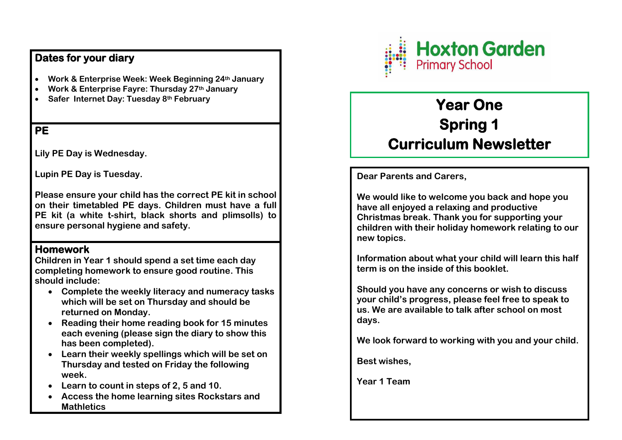# **Dates for your diary**

- **Work & Enterprise Week: Week Beginning 24th January**
- **Work & Enterprise Fayre: Thursday 27th January**
- **Safer Internet Day: Tuesday 8th February**

# **PE**

**Lily PE Day is Wednesday.** 

**Lupin PE Day is Tuesday.** 

**Please ensure your child has the correct PE kit in school on their timetabled PE days. Children must have a full PE kit (a white t-shirt, black shorts and plimsolls) to ensure personal hygiene and safety.** 

## **Homework**

**Children in Year 1 should spend a set time each day completing homework to ensure good routine. This should include:** 

- **Complete the weekly literacy and numeracy tasks which will be set on Thursday and should be returned on Monday.**
- **Reading their home reading book for 15 minutes each evening (please sign the diary to show this has been completed).**
- **Learn their weekly spellings which will be set on Thursday and tested on Friday the following week.**
- **Learn to count in steps of 2, 5 and 10.**
- **Access the home learning sites Rockstars and Mathletics**



# **Year One Spring 1 Curriculum Newsletter**

**Dear Parents and Carers,** 

**We would like to welcome you back and hope you have all enjoyed a relaxing and productive Christmas break. Thank you for supporting your children with their holiday homework relating to our new topics.** 

**Information about what your child will learn this half term is on the inside of this booklet.** 

**Should you have any concerns or wish to discuss your child's progress, please feel free to speak to us. We are available to talk after school on most days.** 

**We look forward to working with you and your child.** 

**Best wishes,** 

**Year 1 Team**